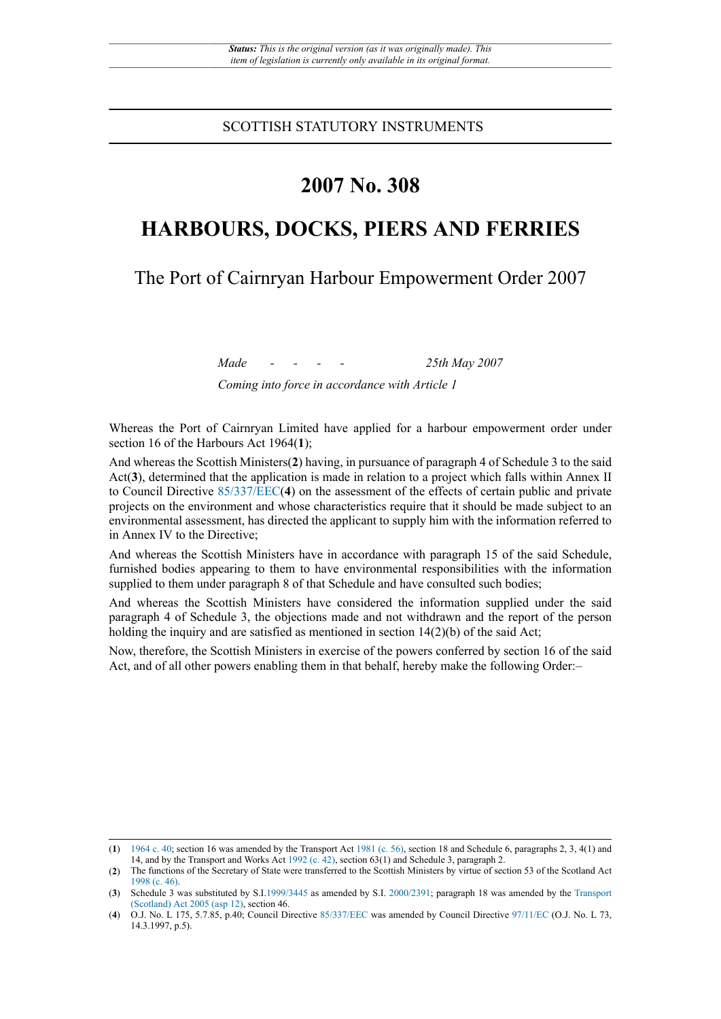SCOTTISH STATUTORY INSTRUMENTS

# **2007 No. 308**

# **HARBOURS, DOCKS, PIERS AND FERRIES**

The Port of Cairnryan Harbour Empowerment Order 2007

*Made - - - - 25th May 2007 Coming into force in accordance with Article 1*

Whereas the Port of Cairnryan Limited have applied for a harbour empowerment order under section 16 of the Harbours Act 1964(**1**);

And whereas the Scottish Ministers(**2**) having, in pursuance of paragraph 4 of Schedule 3 to the said Act(**3**), determined that the application is made in relation to a project which falls within Annex II to Council Directive [85/337/EEC\(](http://www.legislation.gov.uk/european/directive/1985/0337)**4**) on the assessment of the effects of certain public and private projects on the environment and whose characteristics require that it should be made subject to an environmental assessment, has directed the applicant to supply him with the information referred to in Annex IV to the Directive;

And whereas the Scottish Ministers have in accordance with paragraph 15 of the said Schedule, furnished bodies appearing to them to have environmental responsibilities with the information supplied to them under paragraph 8 of that Schedule and have consulted such bodies;

And whereas the Scottish Ministers have considered the information supplied under the said paragraph 4 of Schedule 3, the objections made and not withdrawn and the report of the person holding the inquiry and are satisfied as mentioned in section  $14(2)(b)$  of the said Act;

Now, therefore, the Scottish Ministers in exercise of the powers conferred by section 16 of the said Act, and of all other powers enabling them in that behalf, hereby make the following Order:–

<sup>(</sup>**1**) [1964 c. 40;](http://www.legislation.gov.uk/id/ukpga/1964/40) section 16 was amended by the Transport Act [1981 \(c. 56\)](http://www.legislation.gov.uk/id/ukpga/1981/56), section 18 and Schedule 6, paragraphs 2, 3, 4(1) and 14, and by the Transport and Works Act [1992 \(c. 42\),](http://www.legislation.gov.uk/id/ukpga/1992/42) section 63(1) and Schedule 3, paragraph 2.

<sup>(</sup>**2**) The functions of the Secretary of State were transferred to the Scottish Ministers by virtue of section 53 of the Scotland Act [1998 \(c. 46\).](http://www.legislation.gov.uk/id/ukpga/1998/46)

<sup>(</sup>**3**) Schedule 3 was substituted by S.I[.1999/3445](http://www.legislation.gov.uk/id/uksi/1999/3445) as amended by S.I. [2000/2391;](http://www.legislation.gov.uk/id/uksi/2000/2391) paragraph 18 was amended by the [Transport](http://www.legislation.gov.uk/id/asp/2005/12) [\(Scotland\) Act 2005 \(asp 12\),](http://www.legislation.gov.uk/id/asp/2005/12) section 46.

<sup>(</sup>**4**) O.J. No. L 175, 5.7.85, p.40; Council Directive [85/337/EEC](http://www.legislation.gov.uk/european/directive/1985/0337) was amended by Council Directive [97/11/EC](http://www.legislation.gov.uk/european/directive/1997/0011) (O.J. No. L 73, 14.3.1997, p.5).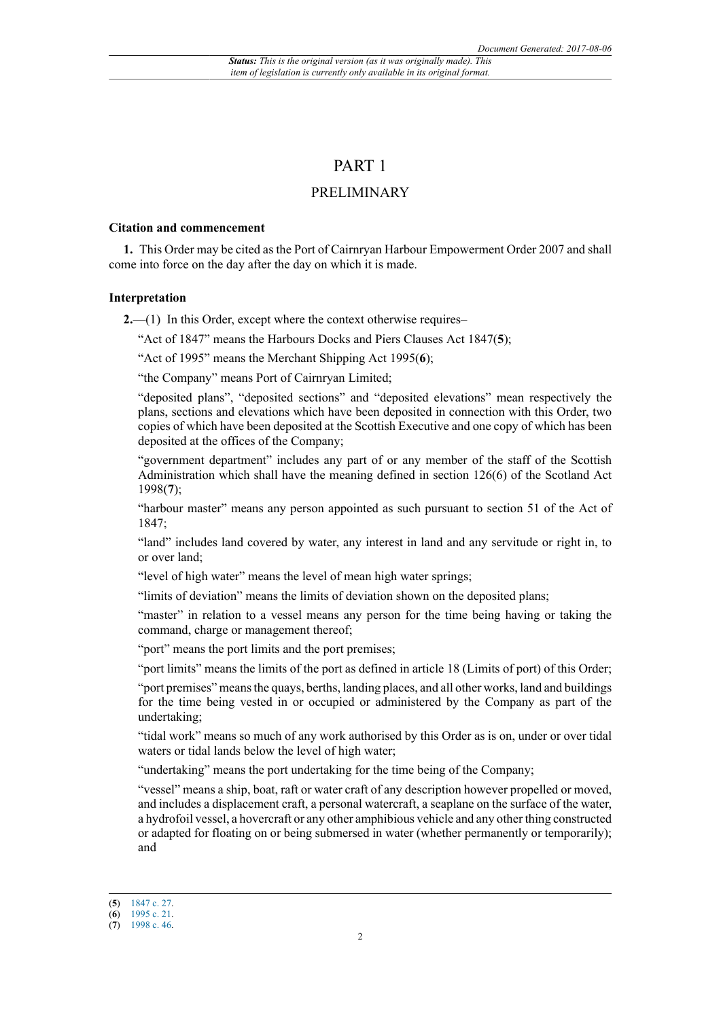# PART 1

# PRELIMINARY

#### **Citation and commencement**

**1.** This Order may be cited as the Port of Cairnryan Harbour Empowerment Order 2007 and shall come into force on the day after the day on which it is made.

#### **Interpretation**

**2.**—(1) In this Order, except where the context otherwise requires–

"Act of 1847" means the Harbours Docks and Piers Clauses Act 1847(**5**);

"Act of 1995" means the Merchant Shipping Act 1995(**6**);

"the Company" means Port of Cairnryan Limited;

"deposited plans", "deposited sections" and "deposited elevations" mean respectively the plans, sections and elevations which have been deposited in connection with this Order, two copies of which have been deposited at the Scottish Executive and one copy of which has been deposited at the offices of the Company;

"government department" includes any part of or any member of the staff of the Scottish Administration which shall have the meaning defined in section 126(6) of the Scotland Act 1998(**7**);

"harbour master" means any person appointed as such pursuant to section 51 of the Act of 1847;

"land" includes land covered by water, any interest in land and any servitude or right in, to or over land;

"level of high water" means the level of mean high water springs;

"limits of deviation" means the limits of deviation shown on the deposited plans;

"master" in relation to a vessel means any person for the time being having or taking the command, charge or management thereof;

"port" means the port limits and the port premises;

"port limits" means the limits of the port as defined in article 18 (Limits of port) of this Order;

"port premises" means the quays, berths, landing places, and all other works, land and buildings for the time being vested in or occupied or administered by the Company as part of the undertaking;

"tidal work" means so much of any work authorised by this Order as is on, under or over tidal waters or tidal lands below the level of high water;

"undertaking" means the port undertaking for the time being of the Company;

"vessel" means a ship, boat, raft or water craft of any description however propelled or moved, and includes a displacement craft, a personal watercraft, a seaplane on the surface of the water, a hydrofoil vessel, a hovercraft or any other amphibious vehicle and any other thing constructed or adapted for floating on or being submersed in water (whether permanently or temporarily); and

<sup>(</sup>**5**) [1847 c. 27.](http://www.legislation.gov.uk/id/ukpga/1847/27)

<sup>(</sup>**6**) [1995 c. 21.](http://www.legislation.gov.uk/id/ukpga/1995/21) (**7**) [1998 c. 46.](http://www.legislation.gov.uk/id/ukpga/1998/46)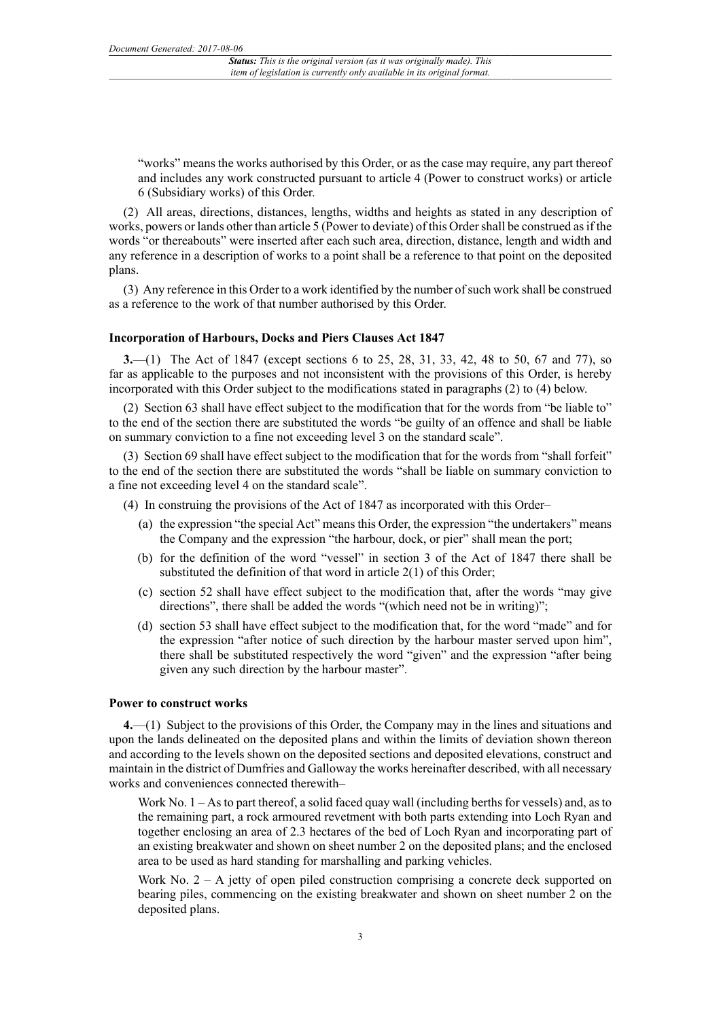"works" means the works authorised by this Order, or as the case may require, any part thereof and includes any work constructed pursuant to article 4 (Power to construct works) or article 6 (Subsidiary works) of this Order.

(2) All areas, directions, distances, lengths, widths and heights as stated in any description of works, powers or lands other than article 5 (Power to deviate) of this Order shall be construed as if the words "or thereabouts" were inserted after each such area, direction, distance, length and width and any reference in a description of works to a point shall be a reference to that point on the deposited plans.

(3) Any reference in this Order to a work identified by the number of such work shall be construed as a reference to the work of that number authorised by this Order.

#### **Incorporation of Harbours, Docks and Piers Clauses Act 1847**

**3.**—(1) The Act of 1847 (except sections 6 to 25, 28, 31, 33, 42, 48 to 50, 67 and 77), so far as applicable to the purposes and not inconsistent with the provisions of this Order, is hereby incorporated with this Order subject to the modifications stated in paragraphs (2) to (4) below.

(2) Section 63 shall have effect subject to the modification that for the words from "be liable to" to the end of the section there are substituted the words "be guilty of an offence and shall be liable on summary conviction to a fine not exceeding level 3 on the standard scale".

(3) Section 69 shall have effect subject to the modification that for the words from "shall forfeit" to the end of the section there are substituted the words "shall be liable on summary conviction to a fine not exceeding level 4 on the standard scale".

- (4) In construing the provisions of the Act of 1847 as incorporated with this Order–
	- (a) the expression "the special Act" means this Order, the expression "the undertakers" means the Company and the expression "the harbour, dock, or pier" shall mean the port;
	- (b) for the definition of the word "vessel" in section 3 of the Act of 1847 there shall be substituted the definition of that word in article 2(1) of this Order;
	- (c) section 52 shall have effect subject to the modification that, after the words "may give directions", there shall be added the words "(which need not be in writing)";
	- (d) section 53 shall have effect subject to the modification that, for the word "made" and for the expression "after notice of such direction by the harbour master served upon him", there shall be substituted respectively the word "given" and the expression "after being given any such direction by the harbour master".

#### **Power to construct works**

**4.**—(1) Subject to the provisions of this Order, the Company may in the lines and situations and upon the lands delineated on the deposited plans and within the limits of deviation shown thereon and according to the levels shown on the deposited sections and deposited elevations, construct and maintain in the district of Dumfries and Galloway the works hereinafter described, with all necessary works and conveniences connected therewith–

Work No.  $1 - As$  to part thereof, a solid faced quay wall (including berths for vessels) and, as to the remaining part, a rock armoured revetment with both parts extending into Loch Ryan and together enclosing an area of 2.3 hectares of the bed of Loch Ryan and incorporating part of an existing breakwater and shown on sheet number 2 on the deposited plans; and the enclosed area to be used as hard standing for marshalling and parking vehicles.

Work No.  $2 - A$  jetty of open piled construction comprising a concrete deck supported on bearing piles, commencing on the existing breakwater and shown on sheet number 2 on the deposited plans.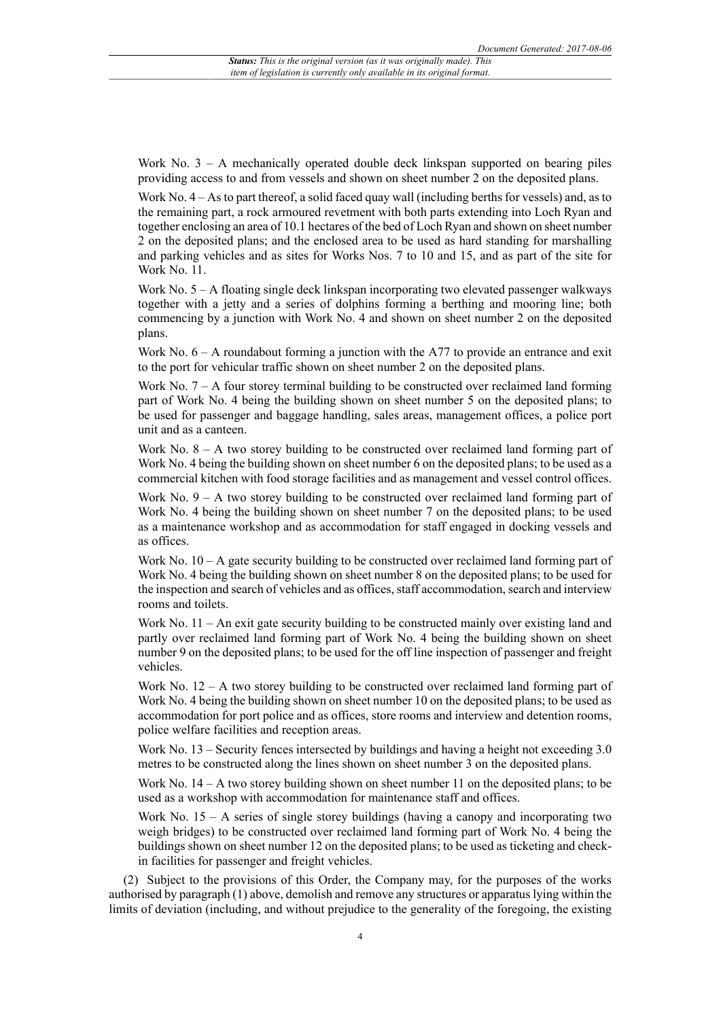Work No. 3 – A mechanically operated double deck linkspan supported on bearing piles providing access to and from vessels and shown on sheet number 2 on the deposited plans.

Work No.  $4 - As$  to part thereof, a solid faced quay wall (including berths for vessels) and, as to the remaining part, a rock armoured revetment with both parts extending into Loch Ryan and together enclosing an area of 10.1 hectares of the bed of Loch Ryan and shown on sheet number 2 on the deposited plans; and the enclosed area to be used as hard standing for marshalling and parking vehicles and as sites for Works Nos. 7 to 10 and 15, and as part of the site for Work No. 11.

Work No.  $5 - A$  floating single deck linkspan incorporating two elevated passenger walkways together with a jetty and a series of dolphins forming a berthing and mooring line; both commencing by a junction with Work No. 4 and shown on sheet number 2 on the deposited plans.

Work No.  $6 - A$  roundabout forming a junction with the A77 to provide an entrance and exit to the port for vehicular traffic shown on sheet number 2 on the deposited plans.

Work No.  $7 - A$  four storey terminal building to be constructed over reclaimed land forming part of Work No. 4 being the building shown on sheet number 5 on the deposited plans; to be used for passenger and baggage handling, sales areas, management offices, a police port unit and as a canteen.

Work No.  $8 - A$  two storey building to be constructed over reclaimed land forming part of Work No. 4 being the building shown on sheet number 6 on the deposited plans; to be used as a commercial kitchen with food storage facilities and as management and vessel control offices.

Work No.  $9 - A$  two storey building to be constructed over reclaimed land forming part of Work No. 4 being the building shown on sheet number 7 on the deposited plans; to be used as a maintenance workshop and as accommodation for staff engaged in docking vessels and as offices.

Work No.  $10 - A$  gate security building to be constructed over reclaimed land forming part of Work No. 4 being the building shown on sheet number 8 on the deposited plans; to be used for the inspection and search of vehicles and as offices, staff accommodation, search and interview rooms and toilets.

Work No. 11 – An exit gate security building to be constructed mainly over existing land and partly over reclaimed land forming part of Work No. 4 being the building shown on sheet number 9 on the deposited plans; to be used for the off line inspection of passenger and freight vehicles.

Work No.  $12 - A$  two storey building to be constructed over reclaimed land forming part of Work No. 4 being the building shown on sheet number 10 on the deposited plans; to be used as accommodation for port police and as offices, store rooms and interview and detention rooms, police welfare facilities and reception areas.

Work No. 13 – Security fences intersected by buildings and having a height not exceeding 3.0 metres to be constructed along the lines shown on sheet number 3 on the deposited plans.

Work No. 14 – A two storey building shown on sheet number 11 on the deposited plans; to be used as a workshop with accommodation for maintenance staff and offices.

Work No.  $15 - A$  series of single storey buildings (having a canopy and incorporating two weigh bridges) to be constructed over reclaimed land forming part of Work No. 4 being the buildings shown on sheet number 12 on the deposited plans; to be used as ticketing and checkin facilities for passenger and freight vehicles.

(2) Subject to the provisions of this Order, the Company may, for the purposes of the works authorised by paragraph (1) above, demolish and remove any structures or apparatus lying within the limits of deviation (including, and without prejudice to the generality of the foregoing, the existing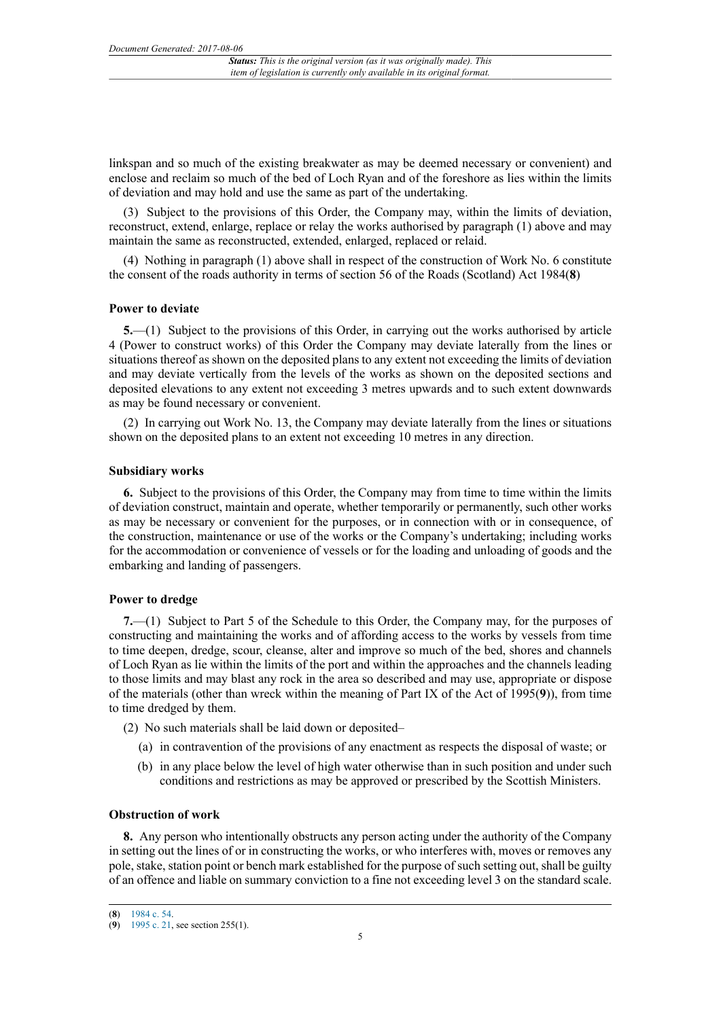linkspan and so much of the existing breakwater as may be deemed necessary or convenient) and enclose and reclaim so much of the bed of Loch Ryan and of the foreshore as lies within the limits of deviation and may hold and use the same as part of the undertaking.

(3) Subject to the provisions of this Order, the Company may, within the limits of deviation, reconstruct, extend, enlarge, replace or relay the works authorised by paragraph (1) above and may maintain the same as reconstructed, extended, enlarged, replaced or relaid.

(4) Nothing in paragraph (1) above shall in respect of the construction of Work No. 6 constitute the consent of the roads authority in terms of section 56 of the Roads (Scotland) Act 1984(**8**)

#### **Power to deviate**

**5.**—(1) Subject to the provisions of this Order, in carrying out the works authorised by article 4 (Power to construct works) of this Order the Company may deviate laterally from the lines or situations thereof as shown on the deposited plans to any extent not exceeding the limits of deviation and may deviate vertically from the levels of the works as shown on the deposited sections and deposited elevations to any extent not exceeding 3 metres upwards and to such extent downwards as may be found necessary or convenient.

(2) In carrying out Work No. 13, the Company may deviate laterally from the lines or situations shown on the deposited plans to an extent not exceeding 10 metres in any direction.

## **Subsidiary works**

**6.** Subject to the provisions of this Order, the Company may from time to time within the limits of deviation construct, maintain and operate, whether temporarily or permanently, such other works as may be necessary or convenient for the purposes, or in connection with or in consequence, of the construction, maintenance or use of the works or the Company's undertaking; including works for the accommodation or convenience of vessels or for the loading and unloading of goods and the embarking and landing of passengers.

#### **Power to dredge**

**7.**—(1) Subject to Part 5 of the Schedule to this Order, the Company may, for the purposes of constructing and maintaining the works and of affording access to the works by vessels from time to time deepen, dredge, scour, cleanse, alter and improve so much of the bed, shores and channels of Loch Ryan as lie within the limits of the port and within the approaches and the channels leading to those limits and may blast any rock in the area so described and may use, appropriate or dispose of the materials (other than wreck within the meaning of Part IX of the Act of 1995(**9**)), from time to time dredged by them.

(2) No such materials shall be laid down or deposited–

- (a) in contravention of the provisions of any enactment as respects the disposal of waste; or
- (b) in any place below the level of high water otherwise than in such position and under such conditions and restrictions as may be approved or prescribed by the Scottish Ministers.

## **Obstruction of work**

**8.** Any person who intentionally obstructs any person acting under the authority of the Company in setting out the lines of or in constructing the works, or who interferes with, moves or removes any pole, stake, station point or bench mark established for the purpose of such setting out, shall be guilty of an offence and liable on summary conviction to a fine not exceeding level 3 on the standard scale.

<sup>(</sup>**8**) [1984 c. 54.](http://www.legislation.gov.uk/id/ukpga/1984/54)

<sup>(</sup>**9**) [1995 c. 21,](http://www.legislation.gov.uk/id/ukpga/1995/21) see section 255(1).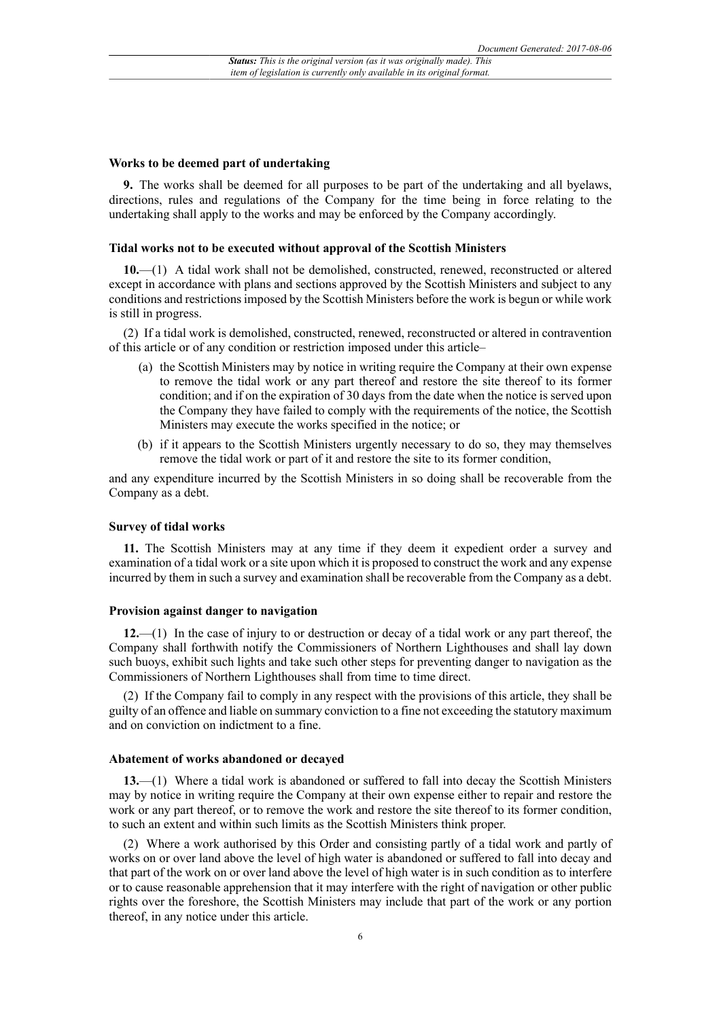#### **Works to be deemed part of undertaking**

**9.** The works shall be deemed for all purposes to be part of the undertaking and all byelaws, directions, rules and regulations of the Company for the time being in force relating to the undertaking shall apply to the works and may be enforced by the Company accordingly.

## **Tidal works not to be executed without approval of the Scottish Ministers**

**10.**—(1) A tidal work shall not be demolished, constructed, renewed, reconstructed or altered except in accordance with plans and sections approved by the Scottish Ministers and subject to any conditions and restrictions imposed by the Scottish Ministers before the work is begun or while work is still in progress.

(2) If a tidal work is demolished, constructed, renewed, reconstructed or altered in contravention of this article or of any condition or restriction imposed under this article–

- (a) the Scottish Ministers may by notice in writing require the Company at their own expense to remove the tidal work or any part thereof and restore the site thereof to its former condition; and if on the expiration of 30 days from the date when the notice is served upon the Company they have failed to comply with the requirements of the notice, the Scottish Ministers may execute the works specified in the notice; or
- (b) if it appears to the Scottish Ministers urgently necessary to do so, they may themselves remove the tidal work or part of it and restore the site to its former condition,

and any expenditure incurred by the Scottish Ministers in so doing shall be recoverable from the Company as a debt.

## **Survey of tidal works**

**11.** The Scottish Ministers may at any time if they deem it expedient order a survey and examination of a tidal work or a site upon which it is proposed to construct the work and any expense incurred by them in such a survey and examination shall be recoverable from the Company as a debt.

#### **Provision against danger to navigation**

**12.**—(1) In the case of injury to or destruction or decay of a tidal work or any part thereof, the Company shall forthwith notify the Commissioners of Northern Lighthouses and shall lay down such buoys, exhibit such lights and take such other steps for preventing danger to navigation as the Commissioners of Northern Lighthouses shall from time to time direct.

(2) If the Company fail to comply in any respect with the provisions of this article, they shall be guilty of an offence and liable on summary conviction to a fine not exceeding the statutory maximum and on conviction on indictment to a fine.

#### **Abatement of works abandoned or decayed**

**13.**—(1) Where a tidal work is abandoned or suffered to fall into decay the Scottish Ministers may by notice in writing require the Company at their own expense either to repair and restore the work or any part thereof, or to remove the work and restore the site thereof to its former condition, to such an extent and within such limits as the Scottish Ministers think proper.

(2) Where a work authorised by this Order and consisting partly of a tidal work and partly of works on or over land above the level of high water is abandoned or suffered to fall into decay and that part of the work on or over land above the level of high water is in such condition as to interfere or to cause reasonable apprehension that it may interfere with the right of navigation or other public rights over the foreshore, the Scottish Ministers may include that part of the work or any portion thereof, in any notice under this article.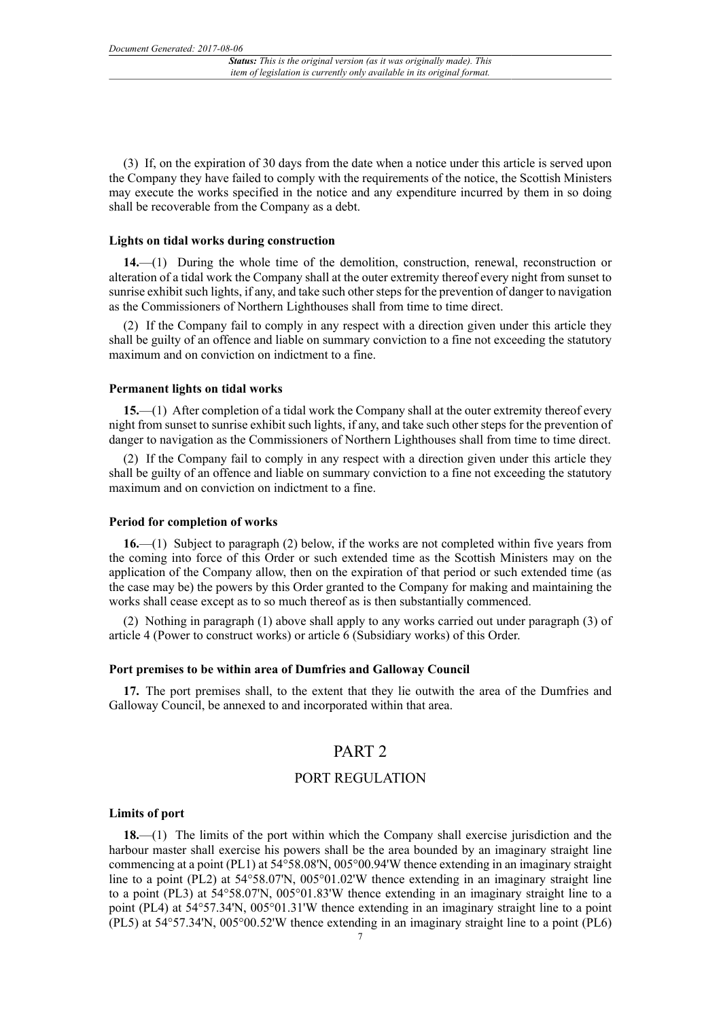(3) If, on the expiration of 30 days from the date when a notice under this article is served upon the Company they have failed to comply with the requirements of the notice, the Scottish Ministers may execute the works specified in the notice and any expenditure incurred by them in so doing shall be recoverable from the Company as a debt.

#### **Lights on tidal works during construction**

**14.**—(1) During the whole time of the demolition, construction, renewal, reconstruction or alteration of a tidal work the Company shall at the outer extremity thereof every night from sunset to sunrise exhibit such lights, if any, and take such other steps for the prevention of danger to navigation as the Commissioners of Northern Lighthouses shall from time to time direct.

(2) If the Company fail to comply in any respect with a direction given under this article they shall be guilty of an offence and liable on summary conviction to a fine not exceeding the statutory maximum and on conviction on indictment to a fine.

## **Permanent lights on tidal works**

**15.**—(1) After completion of a tidal work the Company shall at the outer extremity thereof every night from sunset to sunrise exhibit such lights, if any, and take such other steps for the prevention of danger to navigation as the Commissioners of Northern Lighthouses shall from time to time direct.

(2) If the Company fail to comply in any respect with a direction given under this article they shall be guilty of an offence and liable on summary conviction to a fine not exceeding the statutory maximum and on conviction on indictment to a fine.

#### **Period for completion of works**

**16.**—(1) Subject to paragraph (2) below, if the works are not completed within five years from the coming into force of this Order or such extended time as the Scottish Ministers may on the application of the Company allow, then on the expiration of that period or such extended time (as the case may be) the powers by this Order granted to the Company for making and maintaining the works shall cease except as to so much thereof as is then substantially commenced.

(2) Nothing in paragraph (1) above shall apply to any works carried out under paragraph (3) of article 4 (Power to construct works) or article 6 (Subsidiary works) of this Order.

### **Port premises to be within area of Dumfries and Galloway Council**

**17.** The port premises shall, to the extent that they lie outwith the area of the Dumfries and Galloway Council, be annexed to and incorporated within that area.

# PART 2

## PORT REGULATION

#### **Limits of port**

**18.**—(1) The limits of the port within which the Company shall exercise jurisdiction and the harbour master shall exercise his powers shall be the area bounded by an imaginary straight line commencing at a point (PL1) at 54°58.08'N, 005°00.94'W thence extending in an imaginary straight line to a point (PL2) at 54°58.07'N, 005°01.02'W thence extending in an imaginary straight line to a point (PL3) at 54°58.07'N, 005°01.83'W thence extending in an imaginary straight line to a point (PL4) at 54°57.34'N, 005°01.31'W thence extending in an imaginary straight line to a point (PL5) at 54°57.34'N, 005°00.52'W thence extending in an imaginary straight line to a point (PL6)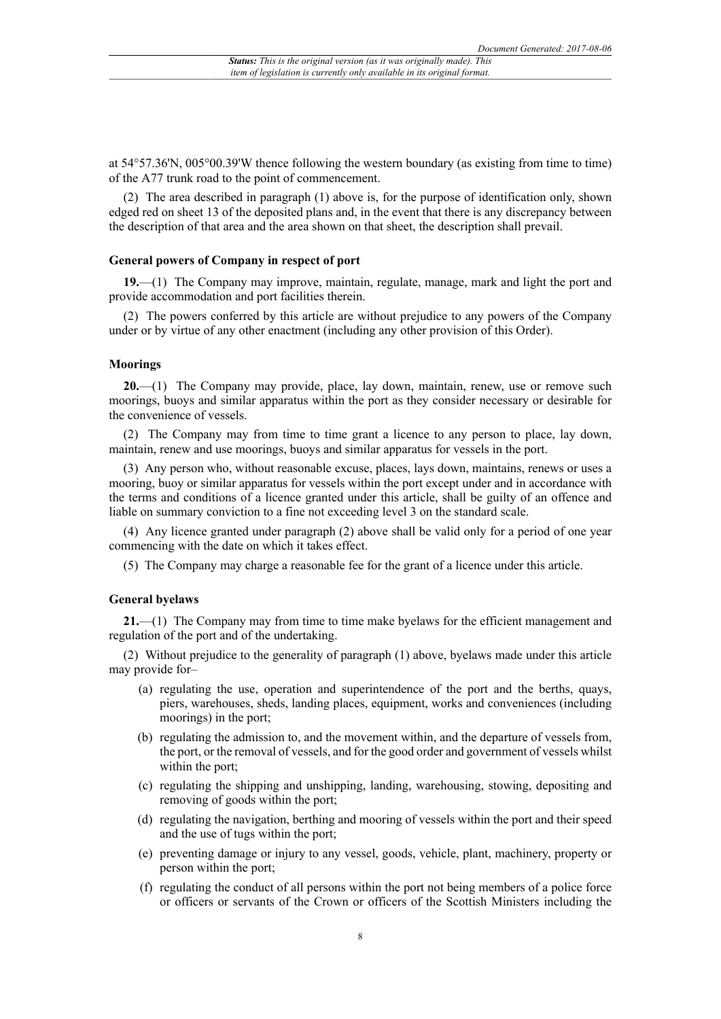at 54°57.36'N, 005°00.39'W thence following the western boundary (as existing from time to time) of the A77 trunk road to the point of commencement.

(2) The area described in paragraph (1) above is, for the purpose of identification only, shown edged red on sheet 13 of the deposited plans and, in the event that there is any discrepancy between the description of that area and the area shown on that sheet, the description shall prevail.

### **General powers of Company in respect of port**

**19.**—(1) The Company may improve, maintain, regulate, manage, mark and light the port and provide accommodation and port facilities therein.

(2) The powers conferred by this article are without prejudice to any powers of the Company under or by virtue of any other enactment (including any other provision of this Order).

#### **Moorings**

**20.**—(1) The Company may provide, place, lay down, maintain, renew, use or remove such moorings, buoys and similar apparatus within the port as they consider necessary or desirable for the convenience of vessels.

(2) The Company may from time to time grant a licence to any person to place, lay down, maintain, renew and use moorings, buoys and similar apparatus for vessels in the port.

(3) Any person who, without reasonable excuse, places, lays down, maintains, renews or uses a mooring, buoy or similar apparatus for vessels within the port except under and in accordance with the terms and conditions of a licence granted under this article, shall be guilty of an offence and liable on summary conviction to a fine not exceeding level 3 on the standard scale.

(4) Any licence granted under paragraph (2) above shall be valid only for a period of one year commencing with the date on which it takes effect.

(5) The Company may charge a reasonable fee for the grant of a licence under this article.

#### **General byelaws**

**21.**—(1) The Company may from time to time make byelaws for the efficient management and regulation of the port and of the undertaking.

(2) Without prejudice to the generality of paragraph (1) above, byelaws made under this article may provide for–

- (a) regulating the use, operation and superintendence of the port and the berths, quays, piers, warehouses, sheds, landing places, equipment, works and conveniences (including moorings) in the port;
- (b) regulating the admission to, and the movement within, and the departure of vessels from, the port, or the removal of vessels, and for the good order and government of vessels whilst within the port;
- (c) regulating the shipping and unshipping, landing, warehousing, stowing, depositing and removing of goods within the port;
- (d) regulating the navigation, berthing and mooring of vessels within the port and their speed and the use of tugs within the port;
- (e) preventing damage or injury to any vessel, goods, vehicle, plant, machinery, property or person within the port;
- (f) regulating the conduct of all persons within the port not being members of a police force or officers or servants of the Crown or officers of the Scottish Ministers including the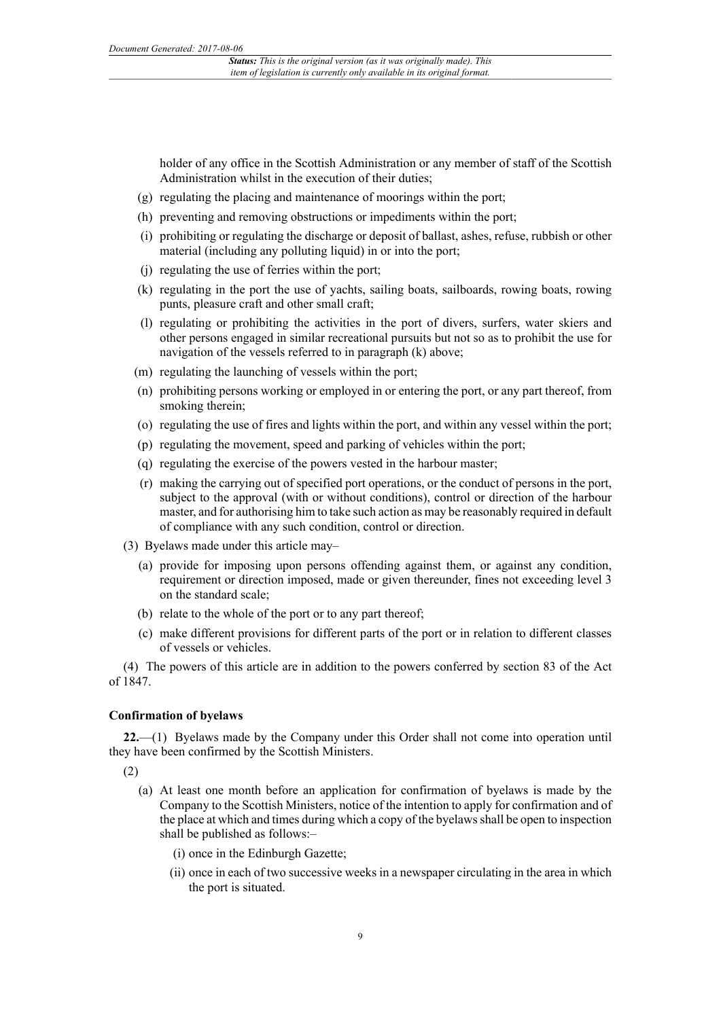holder of any office in the Scottish Administration or any member of staff of the Scottish Administration whilst in the execution of their duties;

- (g) regulating the placing and maintenance of moorings within the port;
- (h) preventing and removing obstructions or impediments within the port;
- (i) prohibiting or regulating the discharge or deposit of ballast, ashes, refuse, rubbish or other material (including any polluting liquid) in or into the port;
- (j) regulating the use of ferries within the port;
- (k) regulating in the port the use of yachts, sailing boats, sailboards, rowing boats, rowing punts, pleasure craft and other small craft;
- (l) regulating or prohibiting the activities in the port of divers, surfers, water skiers and other persons engaged in similar recreational pursuits but not so as to prohibit the use for navigation of the vessels referred to in paragraph (k) above;
- (m) regulating the launching of vessels within the port;
- (n) prohibiting persons working or employed in or entering the port, or any part thereof, from smoking therein;
- (o) regulating the use of fires and lights within the port, and within any vessel within the port;
- (p) regulating the movement, speed and parking of vehicles within the port;
- (q) regulating the exercise of the powers vested in the harbour master;
- (r) making the carrying out of specified port operations, or the conduct of persons in the port, subject to the approval (with or without conditions), control or direction of the harbour master, and for authorising him to take such action as may be reasonably required in default of compliance with any such condition, control or direction.
- (3) Byelaws made under this article may–
	- (a) provide for imposing upon persons offending against them, or against any condition, requirement or direction imposed, made or given thereunder, fines not exceeding level 3 on the standard scale;
	- (b) relate to the whole of the port or to any part thereof;
	- (c) make different provisions for different parts of the port or in relation to different classes of vessels or vehicles.

(4) The powers of this article are in addition to the powers conferred by section 83 of the Act of 1847.

#### **Confirmation of byelaws**

**22.**—(1) Byelaws made by the Company under this Order shall not come into operation until they have been confirmed by the Scottish Ministers.

(2)

- (a) At least one month before an application for confirmation of byelaws is made by the Company to the Scottish Ministers, notice of the intention to apply for confirmation and of the place at which and times during which a copy of the byelaws shall be open to inspection shall be published as follows:–
	- (i) once in the Edinburgh Gazette;
	- (ii) once in each of two successive weeks in a newspaper circulating in the area in which the port is situated.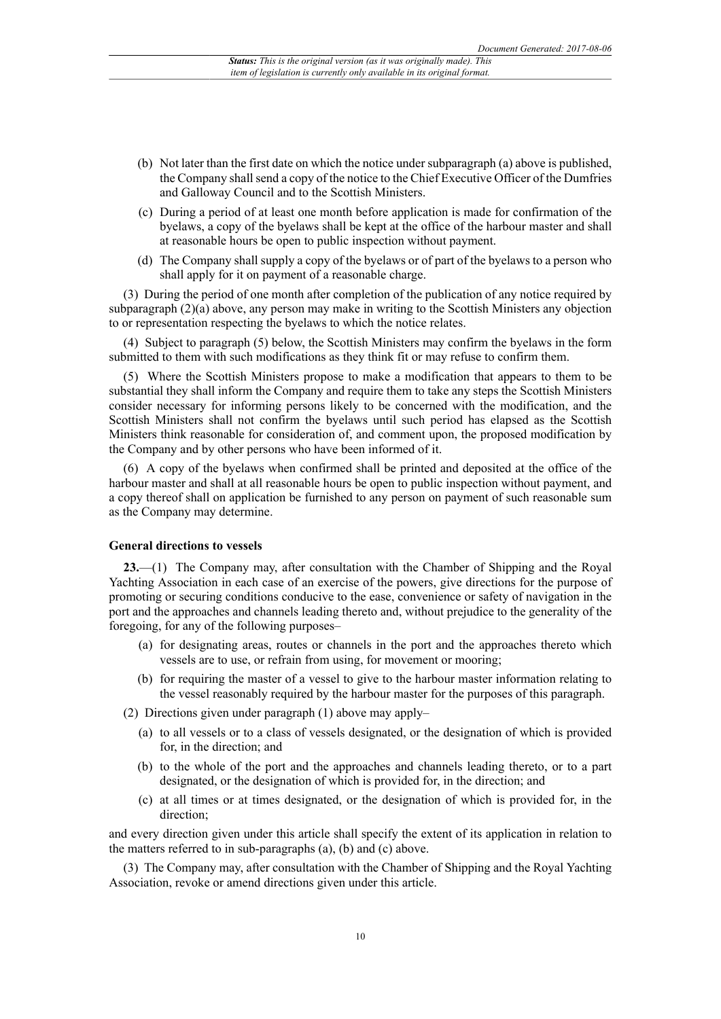- (b) Not later than the first date on which the notice under subparagraph (a) above is published, the Company shall send a copy of the notice to the Chief Executive Officer of the Dumfries and Galloway Council and to the Scottish Ministers.
- (c) During a period of at least one month before application is made for confirmation of the byelaws, a copy of the byelaws shall be kept at the office of the harbour master and shall at reasonable hours be open to public inspection without payment.
- (d) The Company shall supply a copy of the byelaws or of part of the byelaws to a person who shall apply for it on payment of a reasonable charge.

(3) During the period of one month after completion of the publication of any notice required by subparagraph (2)(a) above, any person may make in writing to the Scottish Ministers any objection to or representation respecting the byelaws to which the notice relates.

(4) Subject to paragraph (5) below, the Scottish Ministers may confirm the byelaws in the form submitted to them with such modifications as they think fit or may refuse to confirm them.

(5) Where the Scottish Ministers propose to make a modification that appears to them to be substantial they shall inform the Company and require them to take any steps the Scottish Ministers consider necessary for informing persons likely to be concerned with the modification, and the Scottish Ministers shall not confirm the byelaws until such period has elapsed as the Scottish Ministers think reasonable for consideration of, and comment upon, the proposed modification by the Company and by other persons who have been informed of it.

(6) A copy of the byelaws when confirmed shall be printed and deposited at the office of the harbour master and shall at all reasonable hours be open to public inspection without payment, and a copy thereof shall on application be furnished to any person on payment of such reasonable sum as the Company may determine.

#### **General directions to vessels**

**23.**—(1) The Company may, after consultation with the Chamber of Shipping and the Royal Yachting Association in each case of an exercise of the powers, give directions for the purpose of promoting or securing conditions conducive to the ease, convenience or safety of navigation in the port and the approaches and channels leading thereto and, without prejudice to the generality of the foregoing, for any of the following purposes–

- (a) for designating areas, routes or channels in the port and the approaches thereto which vessels are to use, or refrain from using, for movement or mooring;
- (b) for requiring the master of a vessel to give to the harbour master information relating to the vessel reasonably required by the harbour master for the purposes of this paragraph.
- (2) Directions given under paragraph (1) above may apply–
	- (a) to all vessels or to a class of vessels designated, or the designation of which is provided for, in the direction; and
	- (b) to the whole of the port and the approaches and channels leading thereto, or to a part designated, or the designation of which is provided for, in the direction; and
	- (c) at all times or at times designated, or the designation of which is provided for, in the direction;

and every direction given under this article shall specify the extent of its application in relation to the matters referred to in sub-paragraphs (a), (b) and (c) above.

(3) The Company may, after consultation with the Chamber of Shipping and the Royal Yachting Association, revoke or amend directions given under this article.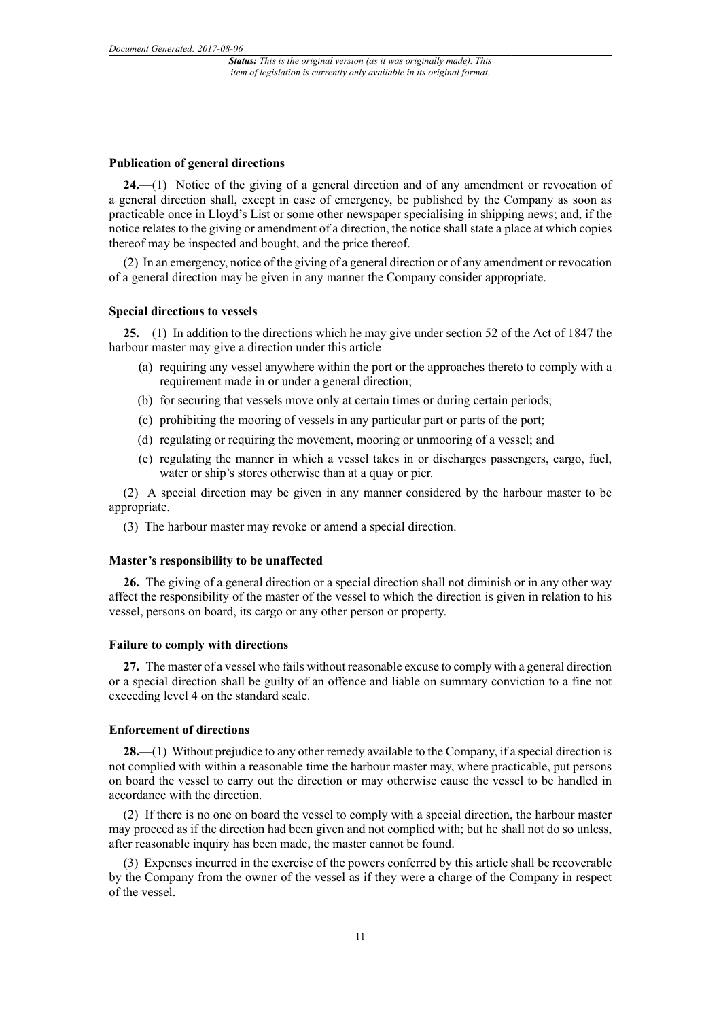#### **Publication of general directions**

**24.**—(1) Notice of the giving of a general direction and of any amendment or revocation of a general direction shall, except in case of emergency, be published by the Company as soon as practicable once in Lloyd's List or some other newspaper specialising in shipping news; and, if the notice relates to the giving or amendment of a direction, the notice shall state a place at which copies thereof may be inspected and bought, and the price thereof.

(2) In an emergency, notice of the giving of a general direction or of any amendment or revocation of a general direction may be given in any manner the Company consider appropriate.

#### **Special directions to vessels**

**25.**—(1) In addition to the directions which he may give under section 52 of the Act of 1847 the harbour master may give a direction under this article–

- (a) requiring any vessel anywhere within the port or the approaches thereto to comply with a requirement made in or under a general direction;
- (b) for securing that vessels move only at certain times or during certain periods;
- (c) prohibiting the mooring of vessels in any particular part or parts of the port;
- (d) regulating or requiring the movement, mooring or unmooring of a vessel; and
- (e) regulating the manner in which a vessel takes in or discharges passengers, cargo, fuel, water or ship's stores otherwise than at a quay or pier.

(2) A special direction may be given in any manner considered by the harbour master to be appropriate.

(3) The harbour master may revoke or amend a special direction.

#### **Master's responsibility to be unaffected**

**26.** The giving of a general direction or a special direction shall not diminish or in any other way affect the responsibility of the master of the vessel to which the direction is given in relation to his vessel, persons on board, its cargo or any other person or property.

## **Failure to comply with directions**

**27.** The master of a vessel who fails without reasonable excuse to comply with a general direction or a special direction shall be guilty of an offence and liable on summary conviction to a fine not exceeding level 4 on the standard scale.

#### **Enforcement of directions**

**28.**—(1) Without prejudice to any other remedy available to the Company, if a special direction is not complied with within a reasonable time the harbour master may, where practicable, put persons on board the vessel to carry out the direction or may otherwise cause the vessel to be handled in accordance with the direction.

(2) If there is no one on board the vessel to comply with a special direction, the harbour master may proceed as if the direction had been given and not complied with; but he shall not do so unless, after reasonable inquiry has been made, the master cannot be found.

(3) Expenses incurred in the exercise of the powers conferred by this article shall be recoverable by the Company from the owner of the vessel as if they were a charge of the Company in respect of the vessel.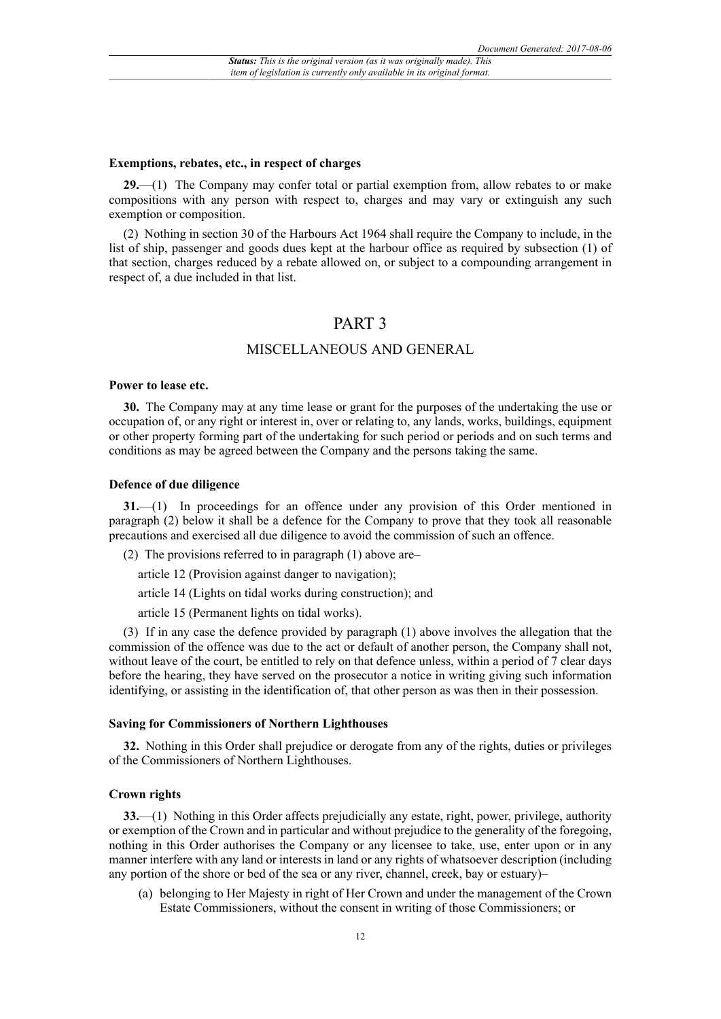#### **Exemptions, rebates, etc., in respect of charges**

**29.**—(1) The Company may confer total or partial exemption from, allow rebates to or make compositions with any person with respect to, charges and may vary or extinguish any such exemption or composition.

(2) Nothing in section 30 of the Harbours Act 1964 shall require the Company to include, in the list of ship, passenger and goods dues kept at the harbour office as required by subsection (1) of that section, charges reduced by a rebate allowed on, or subject to a compounding arrangement in respect of, a due included in that list.

# PART 3

## MISCELLANEOUS AND GENERAL

## **Power to lease etc.**

**30.** The Company may at any time lease or grant for the purposes of the undertaking the use or occupation of, or any right or interest in, over or relating to, any lands, works, buildings, equipment or other property forming part of the undertaking for such period or periods and on such terms and conditions as may be agreed between the Company and the persons taking the same.

### **Defence of due diligence**

**31.**—(1) In proceedings for an offence under any provision of this Order mentioned in paragraph (2) below it shall be a defence for the Company to prove that they took all reasonable precautions and exercised all due diligence to avoid the commission of such an offence.

(2) The provisions referred to in paragraph (1) above are–

article 12 (Provision against danger to navigation);

article 14 (Lights on tidal works during construction); and

article 15 (Permanent lights on tidal works).

(3) If in any case the defence provided by paragraph (1) above involves the allegation that the commission of the offence was due to the act or default of another person, the Company shall not, without leave of the court, be entitled to rely on that defence unless, within a period of 7 clear days before the hearing, they have served on the prosecutor a notice in writing giving such information identifying, or assisting in the identification of, that other person as was then in their possession.

#### **Saving for Commissioners of Northern Lighthouses**

**32.** Nothing in this Order shall prejudice or derogate from any of the rights, duties or privileges of the Commissioners of Northern Lighthouses.

#### **Crown rights**

**33.**—(1) Nothing in this Order affects prejudicially any estate, right, power, privilege, authority or exemption of the Crown and in particular and without prejudice to the generality of the foregoing, nothing in this Order authorises the Company or any licensee to take, use, enter upon or in any manner interfere with any land or interests in land or any rights of whatsoever description (including any portion of the shore or bed of the sea or any river, channel, creek, bay or estuary)–

(a) belonging to Her Majesty in right of Her Crown and under the management of the Crown Estate Commissioners, without the consent in writing of those Commissioners; or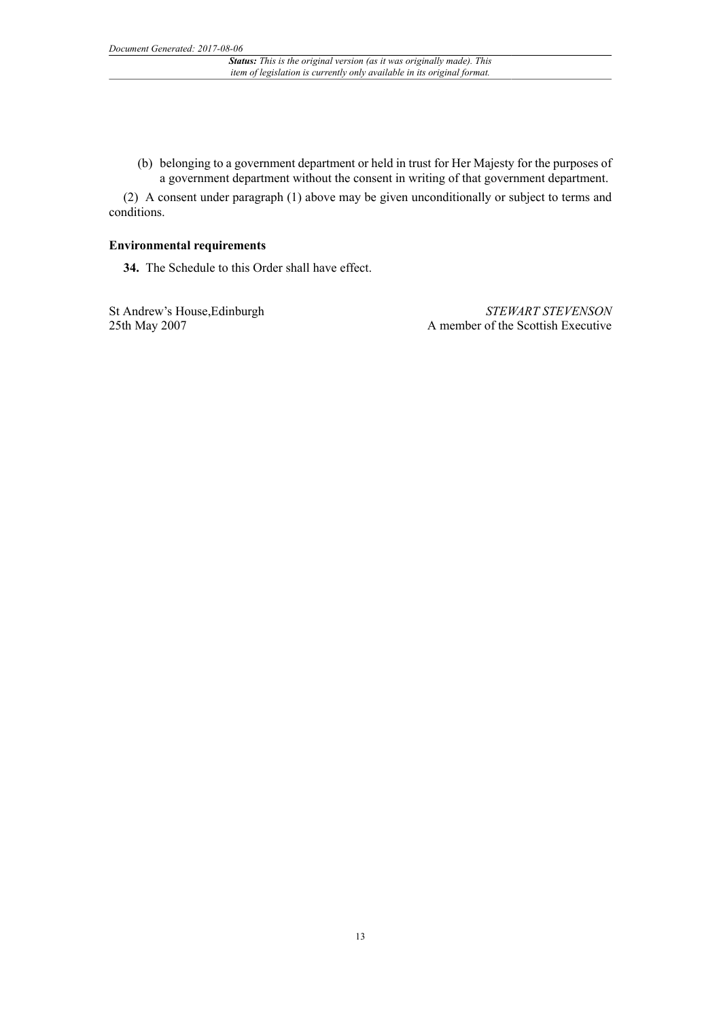(b) belonging to a government department or held in trust for Her Majesty for the purposes of a government department without the consent in writing of that government department.

(2) A consent under paragraph (1) above may be given unconditionally or subject to terms and conditions.

## **Environmental requirements**

**34.** The Schedule to this Order shall have effect.

St Andrew's House,Edinburgh 25th May 2007

*STEWART STEVENSON* A member of the Scottish Executive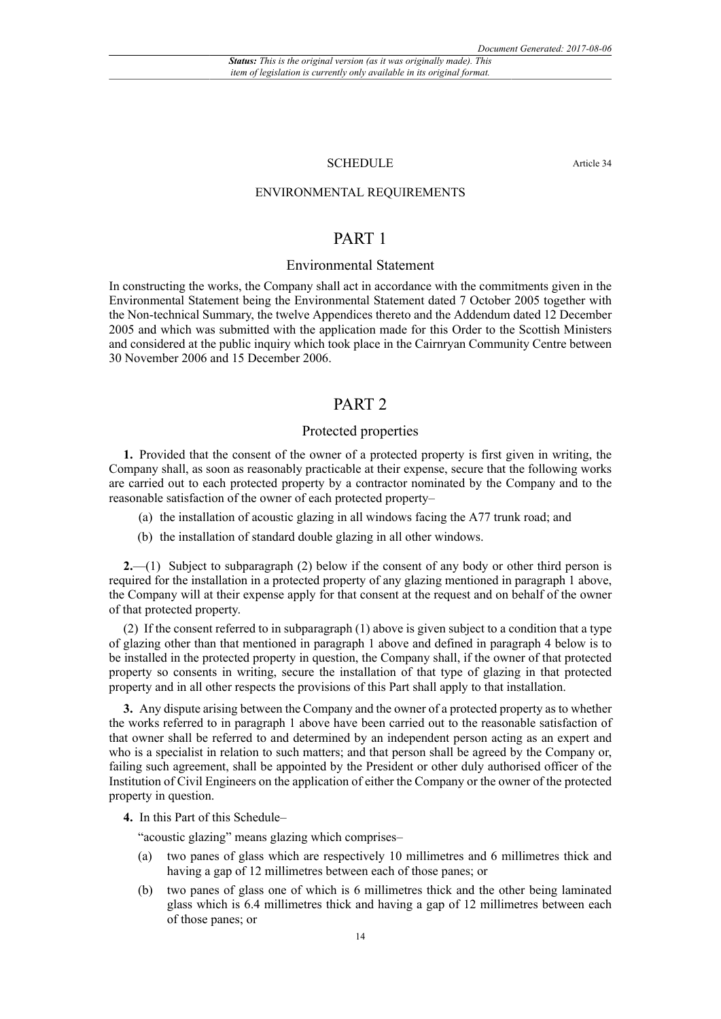## SCHEDULE Article 34

## ENVIRONMENTAL REQUIREMENTS

# PART 1

## Environmental Statement

In constructing the works, the Company shall act in accordance with the commitments given in the Environmental Statement being the Environmental Statement dated 7 October 2005 together with the Non-technical Summary, the twelve Appendices thereto and the Addendum dated 12 December 2005 and which was submitted with the application made for this Order to the Scottish Ministers and considered at the public inquiry which took place in the Cairnryan Community Centre between 30 November 2006 and 15 December 2006.

# PART 2

## Protected properties

**1.** Provided that the consent of the owner of a protected property is first given in writing, the Company shall, as soon as reasonably practicable at their expense, secure that the following works are carried out to each protected property by a contractor nominated by the Company and to the reasonable satisfaction of the owner of each protected property–

- (a) the installation of acoustic glazing in all windows facing the A77 trunk road; and
- (b) the installation of standard double glazing in all other windows.

**2.**—(1) Subject to subparagraph (2) below if the consent of any body or other third person is required for the installation in a protected property of any glazing mentioned in paragraph 1 above, the Company will at their expense apply for that consent at the request and on behalf of the owner of that protected property.

(2) If the consent referred to in subparagraph (1) above is given subject to a condition that a type of glazing other than that mentioned in paragraph 1 above and defined in paragraph 4 below is to be installed in the protected property in question, the Company shall, if the owner of that protected property so consents in writing, secure the installation of that type of glazing in that protected property and in all other respects the provisions of this Part shall apply to that installation.

**3.** Any dispute arising between the Company and the owner of a protected property as to whether the works referred to in paragraph 1 above have been carried out to the reasonable satisfaction of that owner shall be referred to and determined by an independent person acting as an expert and who is a specialist in relation to such matters; and that person shall be agreed by the Company or, failing such agreement, shall be appointed by the President or other duly authorised officer of the Institution of Civil Engineers on the application of either the Company or the owner of the protected property in question.

**4.** In this Part of this Schedule–

"acoustic glazing" means glazing which comprises–

- (a) two panes of glass which are respectively 10 millimetres and 6 millimetres thick and having a gap of 12 millimetres between each of those panes; or
- (b) two panes of glass one of which is 6 millimetres thick and the other being laminated glass which is 6.4 millimetres thick and having a gap of 12 millimetres between each of those panes; or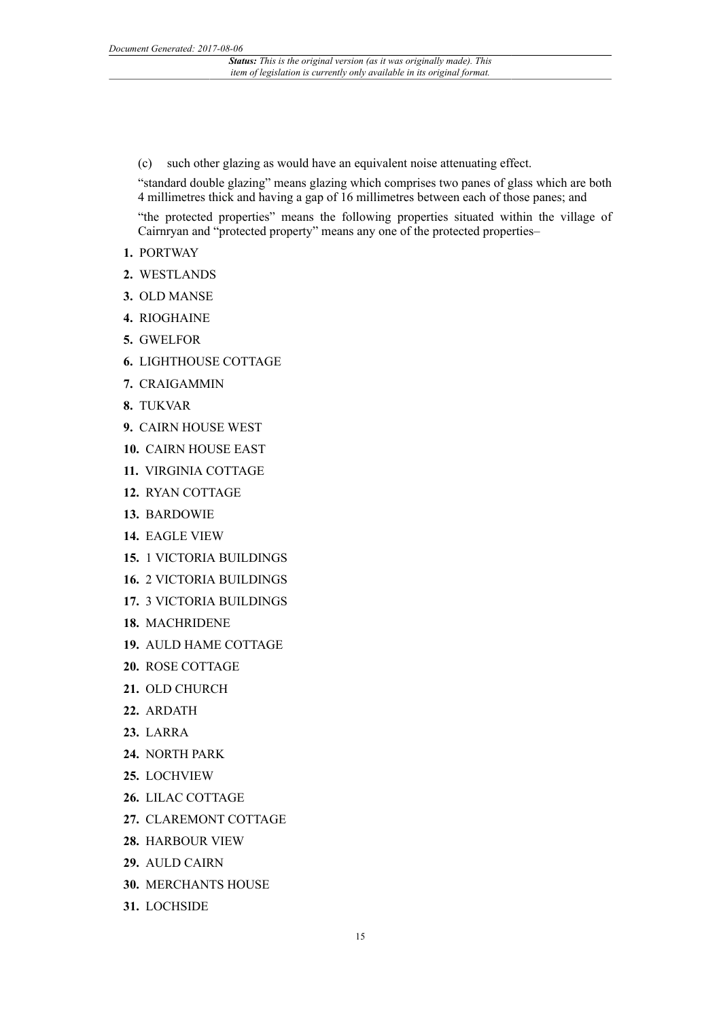(c) such other glazing as would have an equivalent noise attenuating effect.

"standard double glazing" means glazing which comprises two panes of glass which are both 4 millimetres thick and having a gap of 16 millimetres between each of those panes; and "the protected properties" means the following properties situated within the village of Cairnryan and "protected property" means any one of the protected properties–

- **1.** PORTWAY
- **2.** WESTLANDS
- **3.** OLD MANSE
- **4.** RIOGHAINE
- **5.** GWELFOR
- **6.** LIGHTHOUSE COTTAGE
- **7.** CRAIGAMMIN
- **8.** TUKVAR
- **9.** CAIRN HOUSE WEST
- **10.** CAIRN HOUSE EAST
- **11.** VIRGINIA COTTAGE
- **12.** RYAN COTTAGE
- **13.** BARDOWIE
- **14.** EAGLE VIEW
- **15.** 1 VICTORIA BUILDINGS
- **16.** 2 VICTORIA BUILDINGS
- **17.** 3 VICTORIA BUILDINGS
- **18.** MACHRIDENE
- **19.** AULD HAME COTTAGE
- **20.** ROSE COTTAGE
- **21.** OLD CHURCH
- **22.** ARDATH
- **23.** LARRA
- **24.** NORTH PARK
- **25.** LOCHVIEW
- **26.** LILAC COTTAGE
- **27.** CLAREMONT COTTAGE
- **28.** HARBOUR VIEW
- **29.** AULD CAIRN
- **30.** MERCHANTS HOUSE
- **31.** LOCHSIDE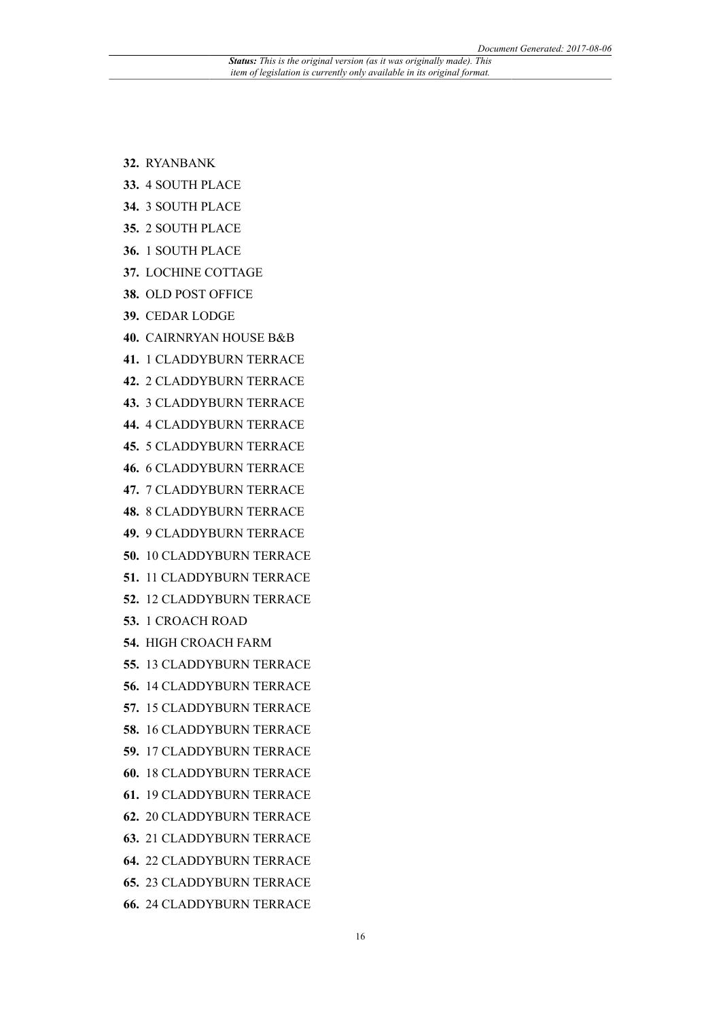- **32.** RYANBANK
- **33.** 4 SOUTH PLACE
- **34.** 3 SOUTH PLACE
- **35.** 2 SOUTH PLACE
- **36.** 1 SOUTH PLACE
- **37.** LOCHINE COTTAGE
- **38.** OLD POST OFFICE
- **39.** CEDAR LODGE
- **40.** CAIRNRYAN HOUSE B&B
- **41.** 1 CLADDYBURN TERRACE
- **42.** 2 CLADDYBURN TERRACE
- **43.** 3 CLADDYBURN TERRACE
- **44.** 4 CLADDYBURN TERRACE
- **45.** 5 CLADDYBURN TERRACE
- **46.** 6 CLADDYBURN TERRACE
- **47.** 7 CLADDYBURN TERRACE
- **48.** 8 CLADDYBURN TERRACE
- **49.** 9 CLADDYBURN TERRACE
- **50.** 10 CLADDYBURN TERRACE
- **51.** 11 CLADDYBURN TERRACE
- **52.** 12 CLADDYBURN TERRACE
- **53.** 1 CROACH ROAD
- **54.** HIGH CROACH FARM
- **55.** 13 CLADDYBURN TERRACE
- **56.** 14 CLADDYBURN TERRACE
- **57.** 15 CLADDYBURN TERRACE
- **58.** 16 CLADDYBURN TERRACE
- **59.** 17 CLADDYBURN TERRACE
- **60.** 18 CLADDYBURN TERRACE
- **61.** 19 CLADDYBURN TERRACE
- **62.** 20 CLADDYBURN TERRACE
- **63.** 21 CLADDYBURN TERRACE
- **64.** 22 CLADDYBURN TERRACE
- **65.** 23 CLADDYBURN TERRACE
- **66.** 24 CLADDYBURN TERRACE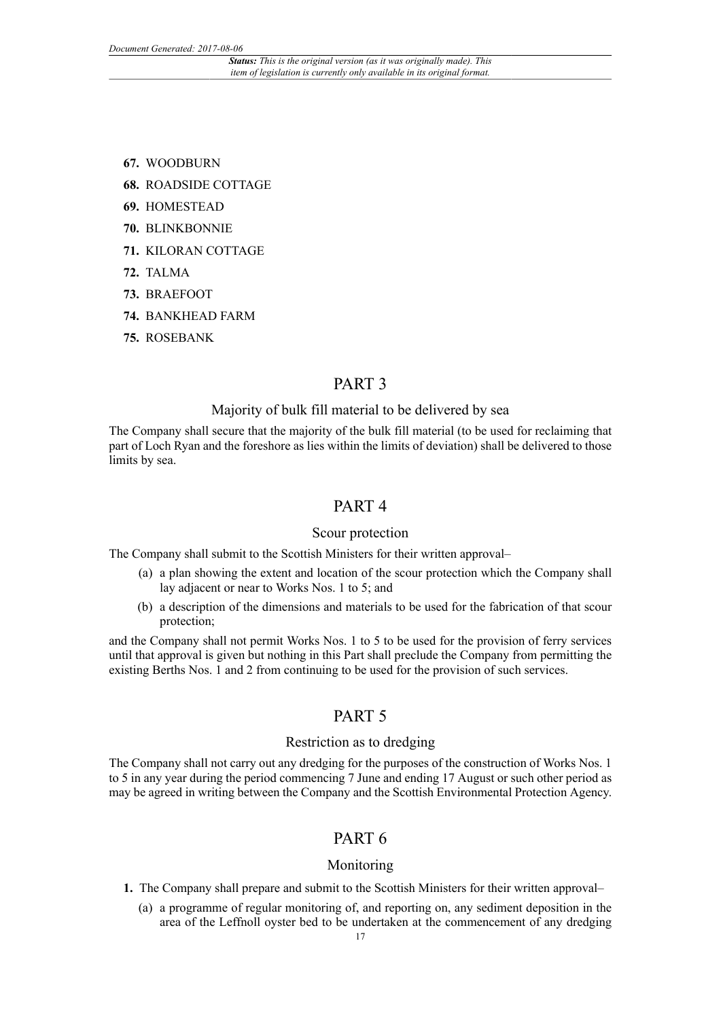- **67.** WOODBURN
- **68.** ROADSIDE COTTAGE
- **69.** HOMESTEAD
- **70.** BLINKBONNIE
- **71.** KILORAN COTTAGE
- **72.** TALMA
- **73.** BRAEFOOT
- **74.** BANKHEAD FARM
- **75.** ROSEBANK

# PART 3

## Majority of bulk fill material to be delivered by sea

The Company shall secure that the majority of the bulk fill material (to be used for reclaiming that part of Loch Ryan and the foreshore as lies within the limits of deviation) shall be delivered to those limits by sea.

# PART 4

## Scour protection

The Company shall submit to the Scottish Ministers for their written approval–

- (a) a plan showing the extent and location of the scour protection which the Company shall lay adjacent or near to Works Nos. 1 to 5; and
- (b) a description of the dimensions and materials to be used for the fabrication of that scour protection;

and the Company shall not permit Works Nos. 1 to 5 to be used for the provision of ferry services until that approval is given but nothing in this Part shall preclude the Company from permitting the existing Berths Nos. 1 and 2 from continuing to be used for the provision of such services.

# PART 5

# Restriction as to dredging

The Company shall not carry out any dredging for the purposes of the construction of Works Nos. 1 to 5 in any year during the period commencing 7 June and ending 17 August or such other period as may be agreed in writing between the Company and the Scottish Environmental Protection Agency.

# PART 6

## Monitoring

- **1.** The Company shall prepare and submit to the Scottish Ministers for their written approval–
	- (a) a programme of regular monitoring of, and reporting on, any sediment deposition in the area of the Leffnoll oyster bed to be undertaken at the commencement of any dredging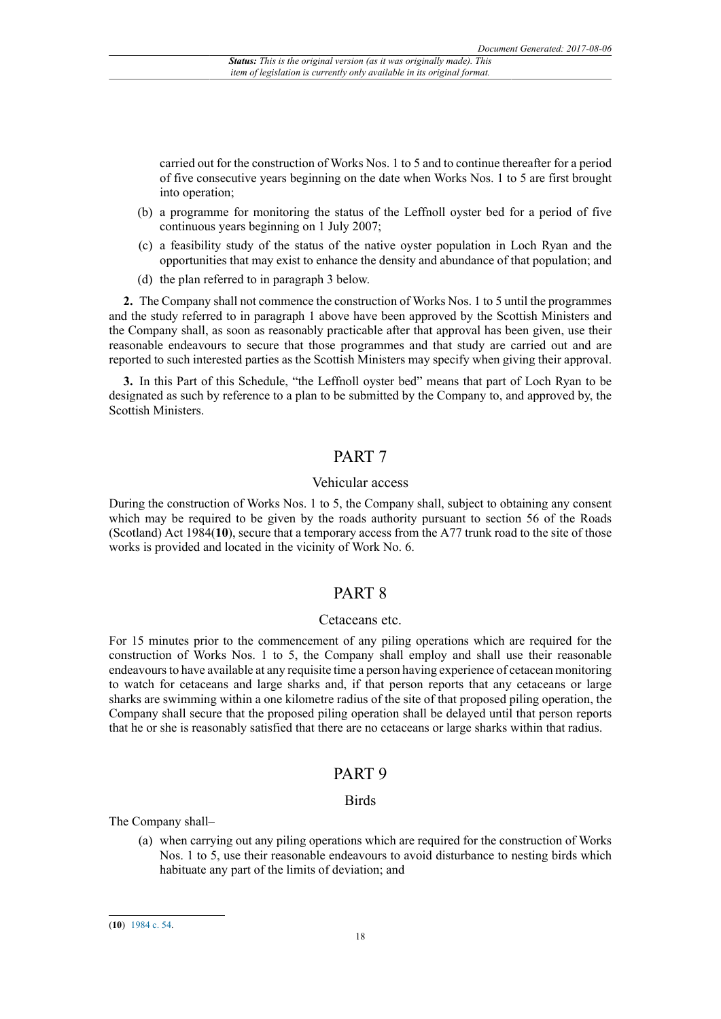carried out for the construction of Works Nos. 1 to 5 and to continue thereafter for a period of five consecutive years beginning on the date when Works Nos. 1 to 5 are first brought into operation;

- (b) a programme for monitoring the status of the Leffnoll oyster bed for a period of five continuous years beginning on 1 July 2007;
- (c) a feasibility study of the status of the native oyster population in Loch Ryan and the opportunities that may exist to enhance the density and abundance of that population; and
- (d) the plan referred to in paragraph 3 below.

**2.** The Company shall not commence the construction of Works Nos. 1 to 5 until the programmes and the study referred to in paragraph 1 above have been approved by the Scottish Ministers and the Company shall, as soon as reasonably practicable after that approval has been given, use their reasonable endeavours to secure that those programmes and that study are carried out and are reported to such interested parties as the Scottish Ministers may specify when giving their approval.

**3.** In this Part of this Schedule, "the Leffnoll oyster bed" means that part of Loch Ryan to be designated as such by reference to a plan to be submitted by the Company to, and approved by, the Scottish Ministers.

# PART 7

## Vehicular access

During the construction of Works Nos. 1 to 5, the Company shall, subject to obtaining any consent which may be required to be given by the roads authority pursuant to section 56 of the Roads (Scotland) Act 1984(**10**), secure that a temporary access from the A77 trunk road to the site of those works is provided and located in the vicinity of Work No. 6.

# PART 8

## Cetaceans etc.

For 15 minutes prior to the commencement of any piling operations which are required for the construction of Works Nos. 1 to 5, the Company shall employ and shall use their reasonable endeavours to have available at any requisite time a person having experience of cetacean monitoring to watch for cetaceans and large sharks and, if that person reports that any cetaceans or large sharks are swimming within a one kilometre radius of the site of that proposed piling operation, the Company shall secure that the proposed piling operation shall be delayed until that person reports that he or she is reasonably satisfied that there are no cetaceans or large sharks within that radius.

# PART 9

## Birds

The Company shall–

(a) when carrying out any piling operations which are required for the construction of Works Nos. 1 to 5, use their reasonable endeavours to avoid disturbance to nesting birds which habituate any part of the limits of deviation; and

<sup>(</sup>**10**) [1984 c. 54.](http://www.legislation.gov.uk/id/ukpga/1984/54)